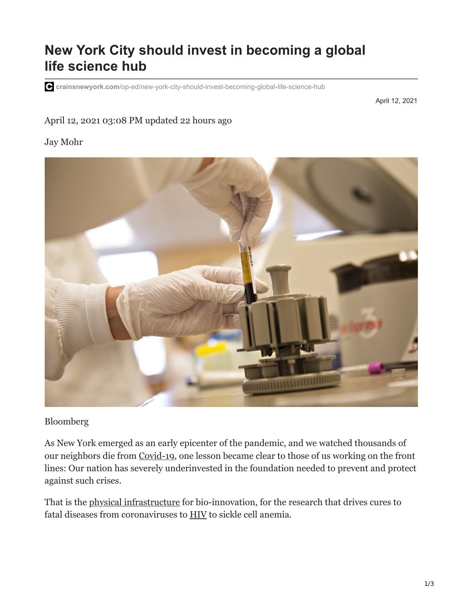## **New York City should invest in becoming a global life science hub**

**crainsnewyork.com**[/op-ed/new-york-city-should-invest-becoming-global-life-science-hub](https://www.crainsnewyork.com/op-ed/new-york-city-should-invest-becoming-global-life-science-hub?utm_source=real-estate-tuesday&utm_medium=email&utm_campaign=20210413&utm_content=article5-headline)

April 12, 2021

## April 12, 2021 03:08 PM updated 22 hours ago

## Jay Mohr



## Bloomberg

As New York emerged as an early epicenter of the pandemic, and we watched thousands of our neighbors die from [Covid-19,](https://www.crainsnewyork.com/topic/coronavirus) one lesson became clear to those of us working on the front lines: Our nation has severely underinvested in the foundation needed to prevent and protect against such crises.

That is the [physical infrastructure](https://www.crainsnewyork.com/asked-answered/why-life-science-developments-are-about-boom) for bio-innovation, for the research that drives cures to fatal diseases from coronaviruses to [HIV](http://www.crainsnewyork.com/assets/pdf/CN1076611031.PDF) to sickle cell anemia.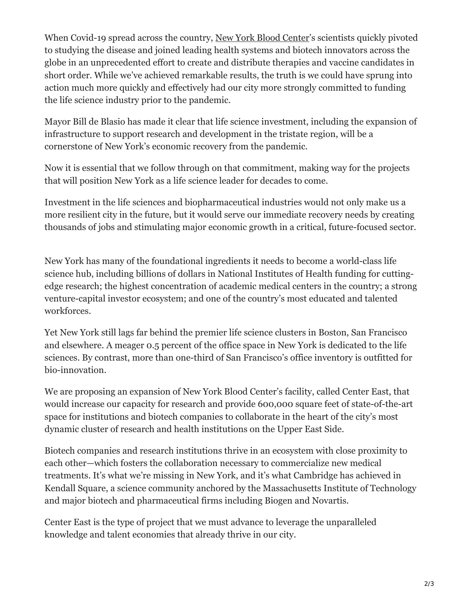When Covid-19 spread across the country, New York Blood Center's scientists quickly pivoted to studying the disease and joined leading health systems and biotech innovators across the globe in an unprecedented effort to create and distribute therapies and vaccine candidates in short order. While we've achieved remarkable results, the truth is we could have sprung into action much more quickly and effectively had our city more strongly committed to funding the life science industry prior to the pandemic.

Mayor Bill de Blasio has made it clear that life science investment, including the expansion of infrastructure to support research and development in the tristate region, will be a cornerstone of New York's economic recovery from the pandemic.

Now it is essential that we follow through on that commitment, making way for the projects that will position New York as a life science leader for decades to come.

Investment in the life sciences and biopharmaceutical industries would not only make us a more resilient city in the future, but it would serve our immediate recovery needs by creating thousands of jobs and stimulating major economic growth in a critical, future-focused sector.

New York has many of the foundational ingredients it needs to become a world-class life science hub, including billions of dollars in National Institutes of Health funding for cuttingedge research; the highest concentration of academic medical centers in the country; a strong venture-capital investor ecosystem; and one of the country's most educated and talented workforces.

Yet New York still lags far behind the premier life science clusters in Boston, San Francisco and elsewhere. A meager 0.5 percent of the office space in New York is dedicated to the life sciences. By contrast, more than one-third of San Francisco's office inventory is outfitted for bio-innovation.

We are proposing an expansion of New York Blood Center's facility, called Center East, that would increase our capacity for research and provide 600,000 square feet of state-of-the-art space for institutions and biotech companies to collaborate in the heart of the city's most dynamic cluster of research and health institutions on the Upper East Side.

Biotech companies and research institutions thrive in an ecosystem with close proximity to each other—which fosters the collaboration necessary to commercialize new medical treatments. It's what we're missing in New York, and it's what Cambridge has achieved in Kendall Square, a science community anchored by the Massachusetts Institute of Technology and major biotech and pharmaceutical firms including Biogen and Novartis.

Center East is the type of project that we must advance to leverage the unparalleled knowledge and talent economies that already thrive in our city.